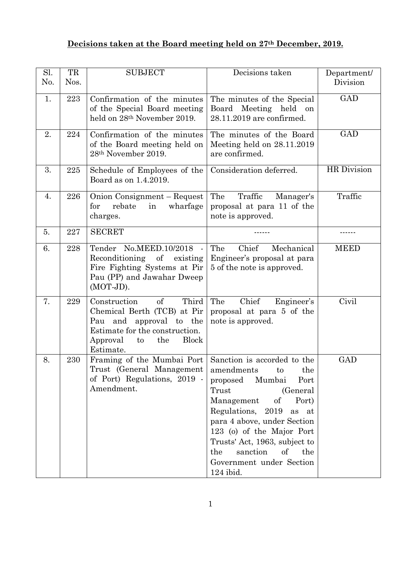## **Decisions taken at the Board meeting held on 27th December, 2019.**

| Sl.<br>No. | TR<br>Nos. | <b>SUBJECT</b>                                                                                                                                                               | Decisions taken                                                                                                                                                                                                                                                                                             | Department/<br>Division |
|------------|------------|------------------------------------------------------------------------------------------------------------------------------------------------------------------------------|-------------------------------------------------------------------------------------------------------------------------------------------------------------------------------------------------------------------------------------------------------------------------------------------------------------|-------------------------|
| 1.         | 223        | Confirmation of the minutes<br>of the Special Board meeting<br>held on 28 <sup>th</sup> November 2019.                                                                       | The minutes of the Special<br>Board Meeting held on<br>28.11.2019 are confirmed.                                                                                                                                                                                                                            | GAD                     |
| 2.         | 224        | Confirmation of the minutes<br>of the Board meeting held on<br>28th November 2019.                                                                                           | The minutes of the Board<br>Meeting held on 28.11.2019<br>are confirmed.                                                                                                                                                                                                                                    | <b>GAD</b>              |
| 3.         | 225        | Schedule of Employees of the<br>Board as on 1.4.2019.                                                                                                                        | Consideration deferred.                                                                                                                                                                                                                                                                                     | <b>HR</b> Division      |
| 4.         | 226        | Onion Consignment – Request<br>rebate<br>wharfage<br>for<br>in<br>charges.                                                                                                   | Traffic<br>The<br>Manager's<br>proposal at para 11 of the<br>note is approved.                                                                                                                                                                                                                              | Traffic                 |
| 5.         | 227        | <b>SECRET</b>                                                                                                                                                                |                                                                                                                                                                                                                                                                                                             |                         |
| 6.         | 228        | Tender No.MEED.10/2018 -<br>Reconditioning of<br>existing<br>Fire Fighting Systems at Pir<br>Pau (PP) and Jawahar Dweep<br>(MOT-JD).                                         | Chief<br>The<br>Mechanical<br>Engineer's proposal at para<br>5 of the note is approved.                                                                                                                                                                                                                     | <b>MEED</b>             |
| 7.         | 229        | Third<br>Construction<br>$\sigma$<br>Chemical Berth (TCB) at Pir<br>Pau and approval to the<br>Estimate for the construction.<br>Block<br>the<br>Approval<br>to<br>Estimate. | Chief<br>The<br>Engineer's<br>proposal at para 5 of the<br>note is approved.                                                                                                                                                                                                                                | Civil                   |
| 8.         | 230        | Framing of the Mumbai Port   Sanction is accorded to the<br>Trust (General Management<br>of Port) Regulations, 2019 -<br>Amendment.                                          | amendments<br>the<br>to<br>proposed Mumbai<br>Port<br>Trust<br>(General)<br>of<br>Management<br>Port)<br>Regulations, 2019<br>as at<br>para 4 above, under Section<br>123 (o) of the Major Port<br>Trusts' Act, 1963, subject to<br>sanction<br>of<br>the<br>the<br>Government under Section<br>$124$ ibid. | GAD                     |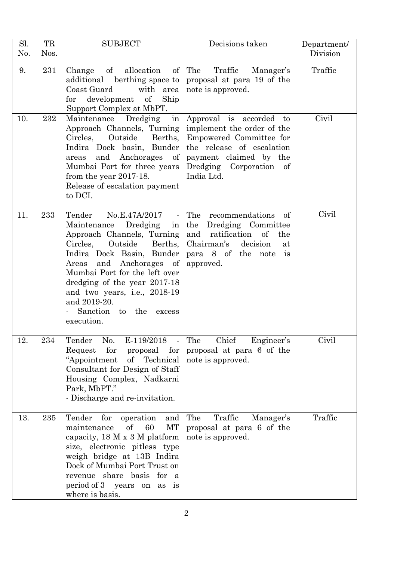| Sl. | TR   | <b>SUBJECT</b>                                                                                                                                                                                                                                                                                                                                         | Decisions taken                                                                                                                                                                  | Department/ |
|-----|------|--------------------------------------------------------------------------------------------------------------------------------------------------------------------------------------------------------------------------------------------------------------------------------------------------------------------------------------------------------|----------------------------------------------------------------------------------------------------------------------------------------------------------------------------------|-------------|
| No. | Nos. |                                                                                                                                                                                                                                                                                                                                                        |                                                                                                                                                                                  | Division    |
| 9.  | 231  | $\sigma f$<br>allocation<br>of<br>Change<br>additional berthing space to<br>Coast Guard<br>with area<br>for development of<br>Ship<br>Support Complex at MbPT.                                                                                                                                                                                         | Traffic<br>The<br>Manager's<br>proposal at para 19 of the<br>note is approved.                                                                                                   | Traffic     |
| 10. | 232  | Maintenance Dredging in<br>Approach Channels, Turning<br>Circles,<br>Outside<br>Berths,<br>Indira Dock basin, Bunder<br>and Anchorages<br>$\sigma$<br>areas<br>Mumbai Port for three years<br>from the year 2017-18.<br>Release of escalation payment<br>to DCI.                                                                                       | Approval is accorded to<br>implement the order of the<br>Empowered Committee for<br>the release of escalation<br>payment claimed by the<br>Dredging Corporation of<br>India Ltd. | Civil       |
| 11. | 233  | Tender<br>No.E.47A/2017<br>$\sim$<br>Dredging<br>Maintenance<br>in<br>Approach Channels, Turning<br>Outside<br>Circles,<br>Berths,<br>Indira Dock Basin, Bunder<br>Areas and Anchorages of<br>Mumbai Port for the left over<br>dredging of the year 2017-18<br>and two years, i.e., 2018-19<br>and 2019-20.<br>Sanction to the<br>excess<br>execution. | The recommendations<br>of<br>Dredging Committee<br>the<br>and<br>ratification of<br>the<br>Chairman's<br>decision<br>at<br>para 8 of the note<br>$\overline{1}$ s<br>approved.   | Civil       |
| 12. | 234  | Tender<br>No.<br>E-119/2018<br>for<br>Request<br>proposal<br>for<br>"Appointment<br>of Technical<br>Consultant for Design of Staff<br>Housing Complex, Nadkarni<br>Park, MbPT."<br>- Discharge and re-invitation.                                                                                                                                      | Chief<br>Engineer's<br>The<br>proposal at para 6 of the<br>note is approved.                                                                                                     | Civil       |
| 13. | 235  | Tender<br>for<br>operation<br>and<br>of<br>60<br>МT<br>maintenance<br>capacity, 18 M x 3 M platform<br>size, electronic pitless type<br>weigh bridge at 13B Indira<br>Dock of Mumbai Port Trust on<br>revenue share basis for<br><sub>a</sub><br>period of 3 years on as is<br>where is basis.                                                         | Traffic<br>The<br>Manager's<br>proposal at para 6 of the<br>note is approved.                                                                                                    | Traffic     |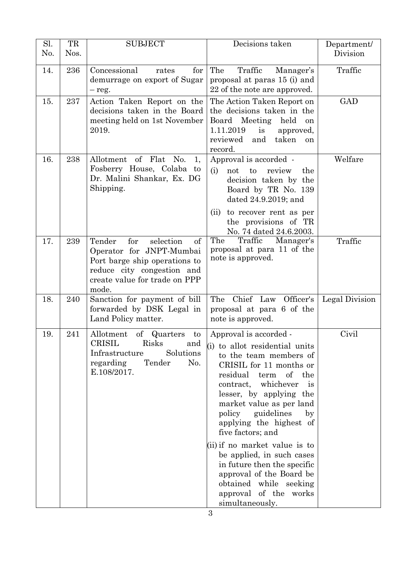| Sl.<br>No. | TR<br>Nos. | <b>SUBJECT</b>                                                                                                                                                        | Decisions taken                                                                                                                                                                                                                                                                                                                                                                                                                                                                                                               | Department/<br>Division |
|------------|------------|-----------------------------------------------------------------------------------------------------------------------------------------------------------------------|-------------------------------------------------------------------------------------------------------------------------------------------------------------------------------------------------------------------------------------------------------------------------------------------------------------------------------------------------------------------------------------------------------------------------------------------------------------------------------------------------------------------------------|-------------------------|
| 14.        | 236        | Concessional<br>for<br>rates<br>demurrage on export of Sugar<br>$-$ reg.                                                                                              | Traffic<br>The<br>Manager's<br>proposal at paras 15 (i) and<br>22 of the note are approved.                                                                                                                                                                                                                                                                                                                                                                                                                                   | Traffic                 |
| 15.        | 237        | Action Taken Report on the<br>decisions taken in the Board<br>meeting held on 1st November<br>2019.                                                                   | The Action Taken Report on<br>the decisions taken in the<br>Board Meeting held<br>on<br>1.11.2019<br>is<br>approved,<br>and taken<br>reviewed<br>on<br>record.                                                                                                                                                                                                                                                                                                                                                                | GAD                     |
| 16.        | 238        | Allotment of Flat No.<br>1,<br>Fosberry House, Colaba to<br>Dr. Malini Shankar, Ex. DG<br>Shipping.                                                                   | Approval is accorded -<br>not to<br>review<br>(i)<br>the<br>decision taken by the<br>Board by TR No. 139<br>dated 24.9.2019; and<br>(ii) to recover rent as per<br>the provisions of TR<br>No. 74 dated 24.6.2003.                                                                                                                                                                                                                                                                                                            | Welfare                 |
| 17.        | 239        | Tender<br>for<br>selection<br>of<br>Operator for JNPT-Mumbai<br>Port barge ship operations to<br>reduce city congestion and<br>create value for trade on PPP<br>mode. | The<br>Traffic<br>Manager's<br>proposal at para 11 of the<br>note is approved.                                                                                                                                                                                                                                                                                                                                                                                                                                                | Traffic                 |
| 18.        | 240        | Sanction for payment of bill<br>forwarded by DSK Legal in<br>Land Policy matter.                                                                                      | Chief Law Officer's<br>The<br>proposal at para 6 of the<br>note is approved.                                                                                                                                                                                                                                                                                                                                                                                                                                                  | Legal Division          |
| 19         | 241        | Allotment of Quarters<br>$\mathbf{to}$<br>CRISIL<br>Risks<br>and<br>Infrastructure<br>Solutions<br>regarding<br>Tender<br>No.<br>E.108/2017.                          | Approval is accorded -<br>(i) to allot residential units<br>to the team members of<br>CRISIL for 11 months or<br>residual term of the<br>contract, whichever<br>is<br>lesser, by applying the<br>market value as per land<br>policy<br>guidelines<br>$\mathbf{b} \mathbf{v}$<br>applying the highest of<br>five factors; and<br>$\sin$ if no market value is to<br>be applied, in such cases<br>in future then the specific<br>approval of the Board be<br>obtained while seeking<br>approval of the works<br>simultaneously. | Civil                   |